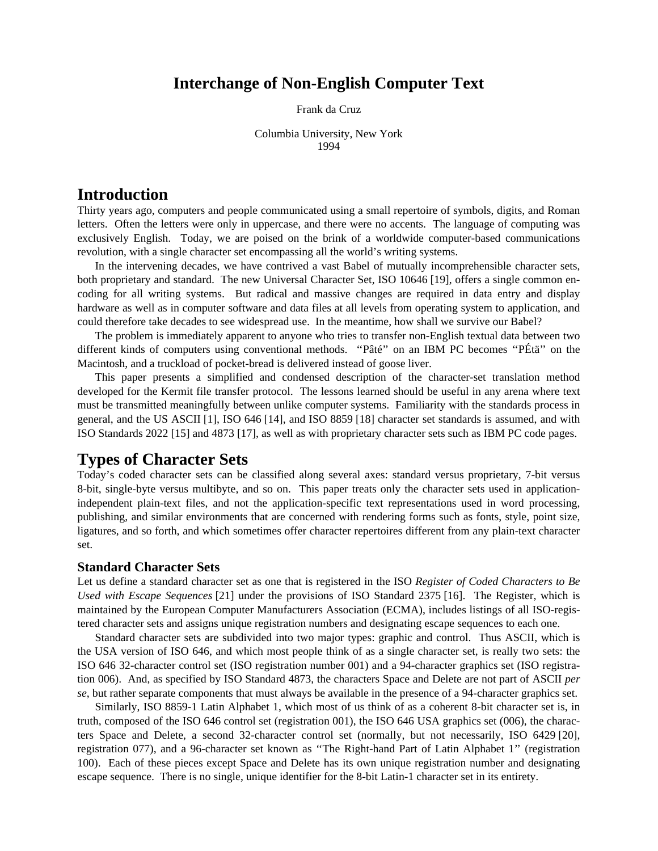# **Interchange of Non-English Computer Text**

Frank da Cruz

Columbia University, New York 1994

# **Introduction**

Thirty years ago, computers and people communicated using a small repertoire of symbols, digits, and Roman letters. Often the letters were only in uppercase, and there were no accents. The language of computing was exclusively English. Today, we are poised on the brink of a worldwide computer-based communications revolution, with a single character set encompassing all the world's writing systems.

In the intervening decades, we have contrived a vast Babel of mutually incomprehensible character sets, both proprietary and standard. The new Universal Character Set, ISO 10646 [19], offers a single common encoding for all writing systems. But radical and massive changes are required in data entry and display hardware as well as in computer software and data files at all levels from operating system to application, and could therefore take decades to see widespread use. In the meantime, how shall we survive our Babel?

The problem is immediately apparent to anyone who tries to transfer non-English textual data between two different kinds of computers using conventional methods. ''Pâté'' on an IBM PC becomes ''PÉtä'' on the Macintosh, and a truckload of pocket-bread is delivered instead of goose liver.

This paper presents a simplified and condensed description of the character-set translation method developed for the Kermit file transfer protocol. The lessons learned should be useful in any arena where text must be transmitted meaningfully between unlike computer systems. Familiarity with the standards process in general, and the US ASCII [1], ISO 646 [14], and ISO 8859 [18] character set standards is assumed, and with ISO Standards 2022 [15] and 4873 [17], as well as with proprietary character sets such as IBM PC code pages.

# **Types of Character Sets**

Today's coded character sets can be classified along several axes: standard versus proprietary, 7-bit versus 8-bit, single-byte versus multibyte, and so on. This paper treats only the character sets used in applicationindependent plain-text files, and not the application-specific text representations used in word processing, publishing, and similar environments that are concerned with rendering forms such as fonts, style, point size, ligatures, and so forth, and which sometimes offer character repertoires different from any plain-text character set.

### **Standard Character Sets**

Let us define a standard character set as one that is registered in the ISO *Register of Coded Characters to Be Used with Escape Sequences* [21] under the provisions of ISO Standard 2375 [16]. The Register, which is maintained by the European Computer Manufacturers Association (ECMA), includes listings of all ISO-registered character sets and assigns unique registration numbers and designating escape sequences to each one.

Standard character sets are subdivided into two major types: graphic and control. Thus ASCII, which is the USA version of ISO 646, and which most people think of as a single character set, is really two sets: the ISO 646 32-character control set (ISO registration number 001) and a 94-character graphics set (ISO registration 006). And, as specified by ISO Standard 4873, the characters Space and Delete are not part of ASCII *per se*, but rather separate components that must always be available in the presence of a 94-character graphics set.

Similarly, ISO 8859-1 Latin Alphabet 1, which most of us think of as a coherent 8-bit character set is, in truth, composed of the ISO 646 control set (registration 001), the ISO 646 USA graphics set (006), the characters Space and Delete, a second 32-character control set (normally, but not necessarily, ISO 6429 [20], registration 077), and a 96-character set known as ''The Right-hand Part of Latin Alphabet 1'' (registration 100). Each of these pieces except Space and Delete has its own unique registration number and designating escape sequence. There is no single, unique identifier for the 8-bit Latin-1 character set in its entirety.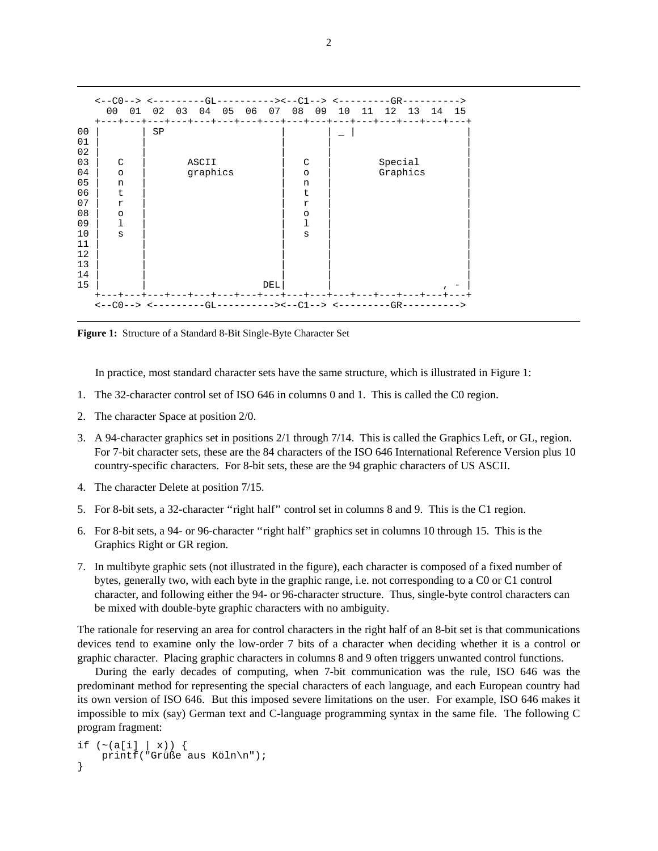|                                                          | <--C0--> <----------GL--------><--C1--> <-------------GR---------<br>0 <sub>0</sub><br>01<br>+---+---+---+---+---+---+---+---+---+---+---+---+---+---+---+---+--- | 02 | 03 |          | 04 05 06 07 08 09   |     |                                              | 10 | 11 | 12          | 13 | 14 | 15 |
|----------------------------------------------------------|-------------------------------------------------------------------------------------------------------------------------------------------------------------------|----|----|----------|---------------------|-----|----------------------------------------------|----|----|-------------|----|----|----|
| 00<br>01<br>02<br>03                                     | C                                                                                                                                                                 | SP |    | ASCII    |                     |     | C                                            |    |    | Special     |    |    |    |
| 04<br>05<br>06<br>07<br>08<br>09<br>10<br>11<br>12<br>13 | $\circ$<br>n<br>t.<br>$\mathbf r$<br>$\circ$<br>ı<br>S                                                                                                            |    |    | graphics |                     |     | $\circ$<br>n<br>t.<br>r<br>$\circ$<br>ı<br>S |    |    | Graphics    |    |    |    |
| 14<br>15                                                 |                                                                                                                                                                   |    |    |          | --+---+---+---+---+ | DEL |                                              |    |    | --+---+---+ |    |    |    |
|                                                          | $\left\langle -C \right\rangle$ --> $\left\langle --C \right\rangle$ --------- $\left\langle -C \right\rangle$                                                    |    |    |          |                     |     |                                              |    |    |             |    |    |    |

**Figure 1:** Structure of a Standard 8-Bit Single-Byte Character Set

In practice, most standard character sets have the same structure, which is illustrated in Figure 1:

- 1. The 32-character control set of ISO 646 in columns 0 and 1. This is called the C0 region.
- 2. The character Space at position 2/0.
- 3. A 94-character graphics set in positions 2/1 through 7/14. This is called the Graphics Left, or GL, region. For 7-bit character sets, these are the 84 characters of the ISO 646 International Reference Version plus 10 country-specific characters. For 8-bit sets, these are the 94 graphic characters of US ASCII.
- 4. The character Delete at position 7/15.
- 5. For 8-bit sets, a 32-character ''right half'' control set in columns 8 and 9. This is the C1 region.
- 6. For 8-bit sets, a 94- or 96-character ''right half'' graphics set in columns 10 through 15. This is the Graphics Right or GR region.
- 7. In multibyte graphic sets (not illustrated in the figure), each character is composed of a fixed number of bytes, generally two, with each byte in the graphic range, i.e. not corresponding to a C0 or C1 control character, and following either the 94- or 96-character structure. Thus, single-byte control characters can be mixed with double-byte graphic characters with no ambiguity.

The rationale for reserving an area for control characters in the right half of an 8-bit set is that communications devices tend to examine only the low-order 7 bits of a character when deciding whether it is a control or graphic character. Placing graphic characters in columns 8 and 9 often triggers unwanted control functions.

During the early decades of computing, when 7-bit communication was the rule, ISO 646 was the predominant method for representing the special characters of each language, and each European country had its own version of ISO 646. But this imposed severe limitations on the user. For example, ISO 646 makes it impossible to mix (say) German text and C-language programming syntax in the same file. The following C program fragment:

```
if ({\sim}(a[i] | x)) {
    printf("Grüße aus Köln\n");
}
```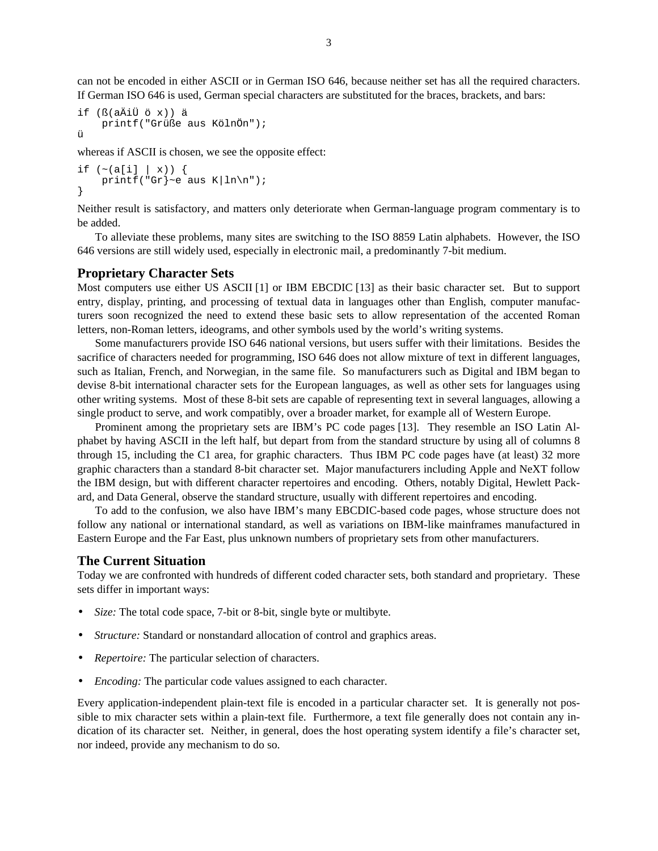can not be encoded in either ASCII or in German ISO 646, because neither set has all the required characters. If German ISO 646 is used, German special characters are substituted for the braces, brackets, and bars:

```
if (ß(aÄiÜ ö x)) ä
    printf("Grüße aus KölnÖn");
ü
```
whereas if ASCII is chosen, we see the opposite effect:

```
if ({\sim}(a[i] | x)) {
    printf("Gr]~e aus K|ln\");
}
```
Neither result is satisfactory, and matters only deteriorate when German-language program commentary is to be added.

To alleviate these problems, many sites are switching to the ISO 8859 Latin alphabets. However, the ISO 646 versions are still widely used, especially in electronic mail, a predominantly 7-bit medium.

#### **Proprietary Character Sets**

Most computers use either US ASCII [1] or IBM EBCDIC [13] as their basic character set. But to support entry, display, printing, and processing of textual data in languages other than English, computer manufacturers soon recognized the need to extend these basic sets to allow representation of the accented Roman letters, non-Roman letters, ideograms, and other symbols used by the world's writing systems.

Some manufacturers provide ISO 646 national versions, but users suffer with their limitations. Besides the sacrifice of characters needed for programming, ISO 646 does not allow mixture of text in different languages, such as Italian, French, and Norwegian, in the same file. So manufacturers such as Digital and IBM began to devise 8-bit international character sets for the European languages, as well as other sets for languages using other writing systems. Most of these 8-bit sets are capable of representing text in several languages, allowing a single product to serve, and work compatibly, over a broader market, for example all of Western Europe.

Prominent among the proprietary sets are IBM's PC code pages [13]. They resemble an ISO Latin Alphabet by having ASCII in the left half, but depart from from the standard structure by using all of columns 8 through 15, including the C1 area, for graphic characters. Thus IBM PC code pages have (at least) 32 more graphic characters than a standard 8-bit character set. Major manufacturers including Apple and NeXT follow the IBM design, but with different character repertoires and encoding. Others, notably Digital, Hewlett Packard, and Data General, observe the standard structure, usually with different repertoires and encoding.

To add to the confusion, we also have IBM's many EBCDIC-based code pages, whose structure does not follow any national or international standard, as well as variations on IBM-like mainframes manufactured in Eastern Europe and the Far East, plus unknown numbers of proprietary sets from other manufacturers.

### **The Current Situation**

Today we are confronted with hundreds of different coded character sets, both standard and proprietary. These sets differ in important ways:

- *Size:* The total code space, 7-bit or 8-bit, single byte or multibyte.
- *Structure:* Standard or nonstandard allocation of control and graphics areas.
- *Repertoire:* The particular selection of characters.
- *Encoding:* The particular code values assigned to each character.

Every application-independent plain-text file is encoded in a particular character set. It is generally not possible to mix character sets within a plain-text file. Furthermore, a text file generally does not contain any indication of its character set. Neither, in general, does the host operating system identify a file's character set, nor indeed, provide any mechanism to do so.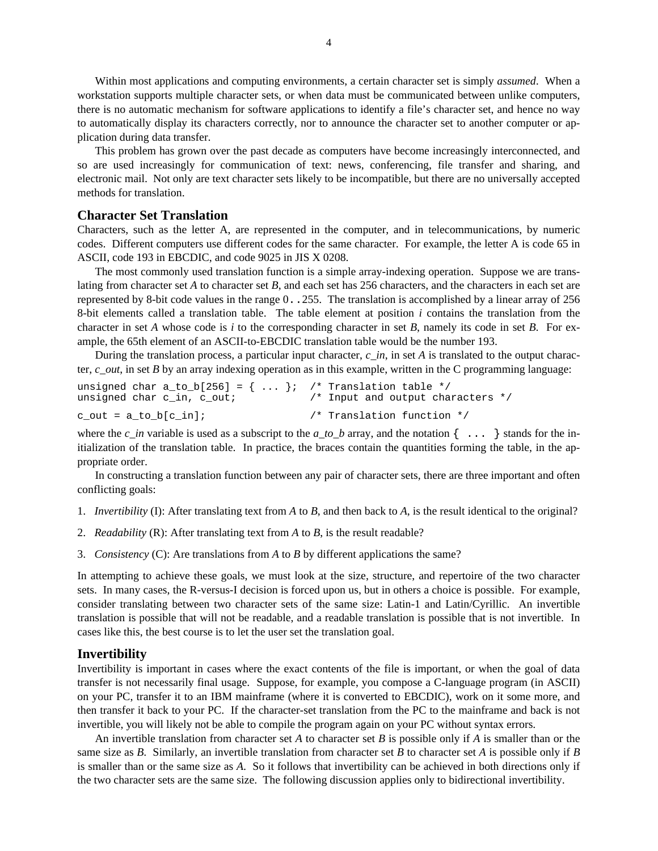Within most applications and computing environments, a certain character set is simply *assumed*. When a workstation supports multiple character sets, or when data must be communicated between unlike computers, there is no automatic mechanism for software applications to identify a file's character set, and hence no way to automatically display its characters correctly, nor to announce the character set to another computer or application during data transfer.

This problem has grown over the past decade as computers have become increasingly interconnected, and so are used increasingly for communication of text: news, conferencing, file transfer and sharing, and electronic mail. Not only are text character sets likely to be incompatible, but there are no universally accepted methods for translation.

### **Character Set Translation**

Characters, such as the letter A, are represented in the computer, and in telecommunications, by numeric codes. Different computers use different codes for the same character. For example, the letter A is code 65 in ASCII, code 193 in EBCDIC, and code 9025 in JIS X 0208.

The most commonly used translation function is a simple array-indexing operation. Suppose we are translating from character set *A* to character set *B*, and each set has 256 characters, and the characters in each set are represented by 8-bit code values in the range 0..255. The translation is accomplished by a linear array of 256 8-bit elements called a translation table. The table element at position *i* contains the translation from the character in set *A* whose code is *i* to the corresponding character in set *B*, namely its code in set *B*. For example, the 65th element of an ASCII-to-EBCDIC translation table would be the number 193.

During the translation process, a particular input character, *c*\_*in*, in set *A* is translated to the output character, *c*\_*out*, in set *B* by an array indexing operation as in this example, written in the C programming language:

| unsigned char a_to_b[256] = {  }; /* Translation table */<br>unsigned char c_in, c_out; | $\frac{1}{2}$ Input and output characters */ |
|-----------------------------------------------------------------------------------------|----------------------------------------------|
| c out = a to b[c in];                                                                   | /* Translation function */                   |

where the  $c\_in$  variable is used as a subscript to the  $a\_to\_b$  array, and the notation  $\{\ldots\}$  stands for the initialization of the translation table. In practice, the braces contain the quantities forming the table, in the appropriate order.

In constructing a translation function between any pair of character sets, there are three important and often conflicting goals:

- 1. *Invertibility* (I): After translating text from *A* to *B*, and then back to *A*, is the result identical to the original?
- 2. *Readability* (R): After translating text from *A* to *B*, is the result readable?
- 3. *Consistency* (C): Are translations from *A* to *B* by different applications the same?

In attempting to achieve these goals, we must look at the size, structure, and repertoire of the two character sets. In many cases, the R-versus-I decision is forced upon us, but in others a choice is possible. For example, consider translating between two character sets of the same size: Latin-1 and Latin/Cyrillic. An invertible translation is possible that will not be readable, and a readable translation is possible that is not invertible. In cases like this, the best course is to let the user set the translation goal.

#### **Invertibility**

Invertibility is important in cases where the exact contents of the file is important, or when the goal of data transfer is not necessarily final usage. Suppose, for example, you compose a C-language program (in ASCII) on your PC, transfer it to an IBM mainframe (where it is converted to EBCDIC), work on it some more, and then transfer it back to your PC. If the character-set translation from the PC to the mainframe and back is not invertible, you will likely not be able to compile the program again on your PC without syntax errors.

An invertible translation from character set *A* to character set *B* is possible only if *A* is smaller than or the same size as *B*. Similarly, an invertible translation from character set *B* to character set *A* is possible only if *B* is smaller than or the same size as *A*. So it follows that invertibility can be achieved in both directions only if the two character sets are the same size. The following discussion applies only to bidirectional invertibility.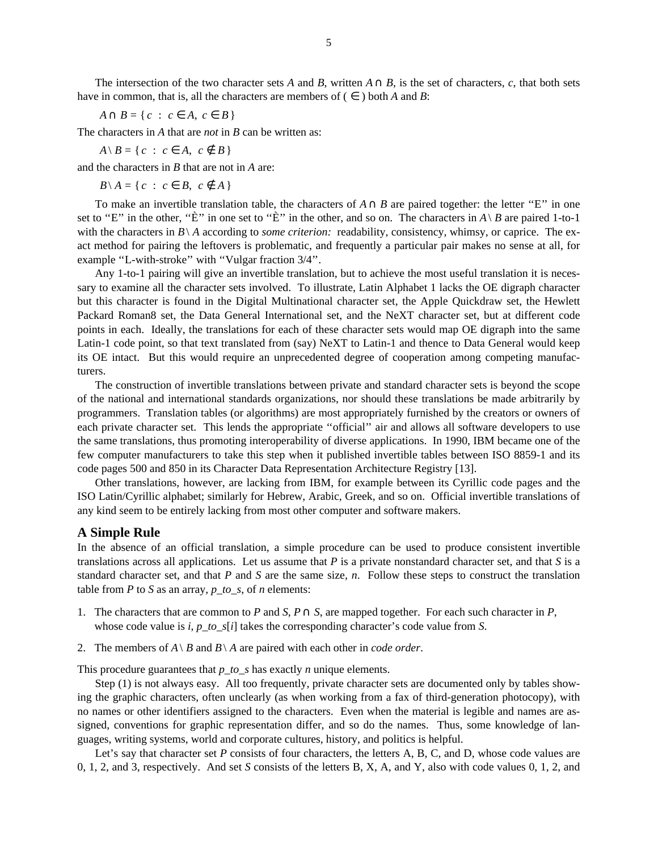*A*∩ *B* = { *c* : *c* ∈ *A*, *c* ∈ *B* }

The characters in *A* that are *not* in *B* can be written as:

 $A \setminus B = \{ c : c \in A, c \notin B \}$ 

and the characters in *B* that are not in *A* are:

*B* \ *A* = { *c* : *c* ∈ *B*, *c* ∉ *A* }

To make an invertible translation table, the characters of  $A \cap B$  are paired together: the letter "E" in one set to "E" in the other, "È" in one set to "È" in the other, and so on. The characters in  $A \setminus B$  are paired 1-to-1 with the characters in  $B\setminus A$  according to *some criterion:* readability, consistency, whimsy, or caprice. The exact method for pairing the leftovers is problematic, and frequently a particular pair makes no sense at all, for example "L-with-stroke" with "Vulgar fraction 3/4".

Any 1-to-1 pairing will give an invertible translation, but to achieve the most useful translation it is necessary to examine all the character sets involved. To illustrate, Latin Alphabet 1 lacks the OE digraph character but this character is found in the Digital Multinational character set, the Apple Quickdraw set, the Hewlett Packard Roman8 set, the Data General International set, and the NeXT character set, but at different code points in each. Ideally, the translations for each of these character sets would map OE digraph into the same Latin-1 code point, so that text translated from (say) NeXT to Latin-1 and thence to Data General would keep its OE intact. But this would require an unprecedented degree of cooperation among competing manufacturers.

The construction of invertible translations between private and standard character sets is beyond the scope of the national and international standards organizations, nor should these translations be made arbitrarily by programmers. Translation tables (or algorithms) are most appropriately furnished by the creators or owners of each private character set. This lends the appropriate ''official'' air and allows all software developers to use the same translations, thus promoting interoperability of diverse applications. In 1990, IBM became one of the few computer manufacturers to take this step when it published invertible tables between ISO 8859-1 and its code pages 500 and 850 in its Character Data Representation Architecture Registry [13].

Other translations, however, are lacking from IBM, for example between its Cyrillic code pages and the ISO Latin/Cyrillic alphabet; similarly for Hebrew, Arabic, Greek, and so on. Official invertible translations of any kind seem to be entirely lacking from most other computer and software makers.

#### **A Simple Rule**

In the absence of an official translation, a simple procedure can be used to produce consistent invertible translations across all applications. Let us assume that *P* is a private nonstandard character set, and that *S* is a standard character set, and that *P* and *S* are the same size, *n*. Follow these steps to construct the translation table from *P* to *S* as an array, *p* to *s*, of *n* elements:

- 1. The characters that are common to *P* and *S*,  $P \cap S$ , are mapped together. For each such character in *P*, whose code value is *i*, *p*\_*to*\_*s*[*i*] takes the corresponding character's code value from *S*.
- 2. The members of  $A \setminus B$  and  $B \setminus A$  are paired with each other in *code order*.

This procedure guarantees that *p*\_*to*\_*s* has exactly *n* unique elements.

Step (1) is not always easy. All too frequently, private character sets are documented only by tables showing the graphic characters, often unclearly (as when working from a fax of third-generation photocopy), with no names or other identifiers assigned to the characters. Even when the material is legible and names are assigned, conventions for graphic representation differ, and so do the names. Thus, some knowledge of languages, writing systems, world and corporate cultures, history, and politics is helpful.

Let's say that character set *P* consists of four characters, the letters A, B, C, and D, whose code values are 0, 1, 2, and 3, respectively. And set *S* consists of the letters B, X, A, and Y, also with code values 0, 1, 2, and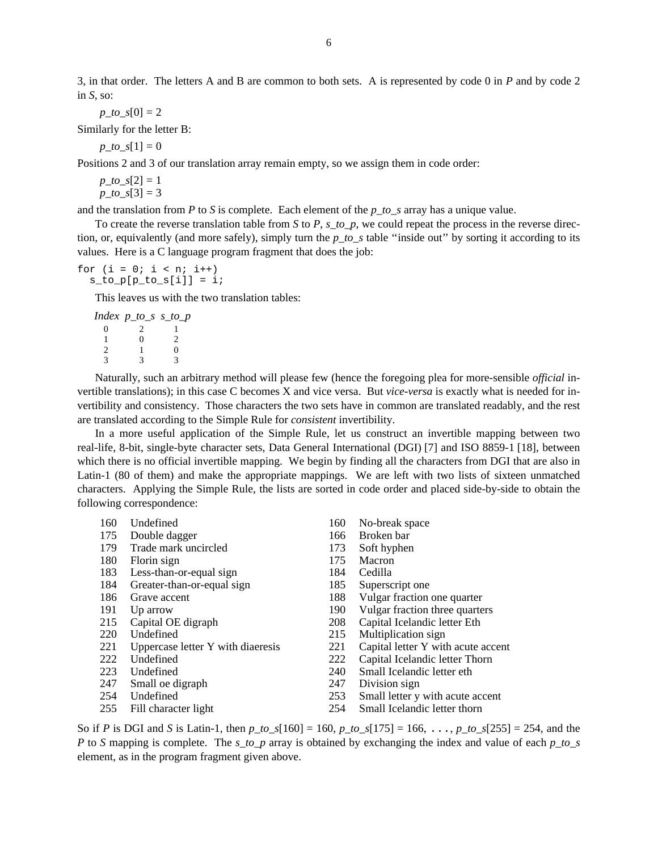3, in that order. The letters A and B are common to both sets. A is represented by code 0 in *P* and by code 2 in *S*, so:

 $p\_to\_s[0] = 2$ 

Similarly for the letter B:

 $p\_to\_s[1] = 0$ 

Positions 2 and 3 of our translation array remain empty, so we assign them in code order:

 $p\_to\_s[2] = 1$  $p\_to\_s[3] = 3$ 

and the translation from *P* to *S* is complete. Each element of the *p*\_*to*\_*s* array has a unique value.

To create the reverse translation table from *S* to *P*, *s*\_*to*\_*p*, we could repeat the process in the reverse direction, or, equivalently (and more safely), simply turn the *p*\_*to*\_*s* table ''inside out'' by sorting it according to its values. Here is a C language program fragment that does the job:

for  $(i = 0; i < n; i++)$  $s_to_p[p_to_s[i]] = i;$ 

This leaves us with the two translation tables:

|   | Index p_to_s s_to_p |   |
|---|---------------------|---|
| 0 |                     |   |
|   | 0                   | 2 |
| 2 |                     | ∩ |
| 2 | 3                   | 3 |

Naturally, such an arbitrary method will please few (hence the foregoing plea for more-sensible *official* invertible translations); in this case C becomes X and vice versa. But *vice-versa* is exactly what is needed for invertibility and consistency. Those characters the two sets have in common are translated readably, and the rest are translated according to the Simple Rule for *consistent* invertibility.

In a more useful application of the Simple Rule, let us construct an invertible mapping between two real-life, 8-bit, single-byte character sets, Data General International (DGI) [7] and ISO 8859-1 [18], between which there is no official invertible mapping. We begin by finding all the characters from DGI that are also in Latin-1 (80 of them) and make the appropriate mappings. We are left with two lists of sixteen unmatched characters. Applying the Simple Rule, the lists are sorted in code order and placed side-by-side to obtain the following correspondence:

| 160 | Undefined                         | 160 | No-break space                     |
|-----|-----------------------------------|-----|------------------------------------|
| 175 | Double dagger                     | 166 | Broken bar                         |
| 179 | Trade mark uncircled              | 173 | Soft hyphen                        |
| 180 | Florin sign                       | 175 | Macron                             |
| 183 | Less-than-or-equal sign           | 184 | Cedilla                            |
| 184 | Greater-than-or-equal sign        | 185 | Superscript one                    |
| 186 | Grave accent                      | 188 | Vulgar fraction one quarter        |
| 191 | Up arrow                          | 190 | Vulgar fraction three quarters     |
| 215 | Capital OE digraph                | 208 | Capital Icelandic letter Eth       |
| 220 | Undefined                         | 215 | Multiplication sign                |
| 221 | Uppercase letter Y with diaeresis | 221 | Capital letter Y with acute accent |
| 222 | Undefined                         | 222 | Capital Icelandic letter Thorn     |
| 223 | Undefined                         | 240 | Small Icelandic letter eth         |
| 247 | Small oe digraph                  | 247 | Division sign                      |
| 254 | Undefined                         | 253 | Small letter y with acute accent   |
| 255 | Fill character light              | 254 | Small Icelandic letter thorn       |

So if *P* is DGI and *S* is Latin-1, then *p*\_*to*\_*s*[160] = 160, *p*\_*to*\_*s*[175] = 166, ..., *p*\_*to*\_*s*[255] = 254, and the *P* to *S* mapping is complete. The *s*\_*to*\_*p* array is obtained by exchanging the index and value of each *p*\_*to*\_*s* element, as in the program fragment given above.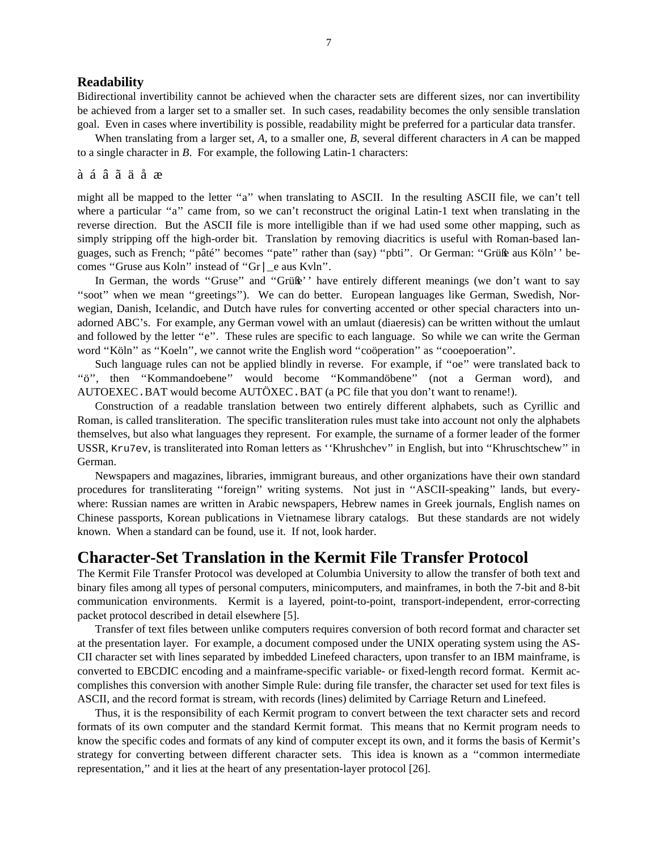### **Readability**

Bidirectional invertibility cannot be achieved when the character sets are different sizes, nor can invertibility be achieved from a larger set to a smaller set. In such cases, readability becomes the only sensible translation goal. Even in cases where invertibility is possible, readability might be preferred for a particular data transfer.

When translating from a larger set, *A*, to a smaller one, *B*, several different characters in *A* can be mapped to a single character in *B*. For example, the following Latin-1 characters:

#### à á â ã ä å æ

might all be mapped to the letter ''a'' when translating to ASCII. In the resulting ASCII file, we can't tell where a particular "a" came from, so we can't reconstruct the original Latin-1 text when translating in the reverse direction. But the ASCII file is more intelligible than if we had used some other mapping, such as simply stripping off the high-order bit. Translation by removing diacritics is useful with Roman-based languages, such as French; ''pâté'' becomes ''pate'' rather than (say) ''pbti''. Or German: ''Grüße aus Köln'' becomes ''Gruse aus Koln'' instead of ''Gr|\_e aus Kvln''.

In German, the words "Gruse" and "Grüße" have entirely different meanings (we don't want to say ''soot'' when we mean ''greetings''). We can do better. European languages like German, Swedish, Norwegian, Danish, Icelandic, and Dutch have rules for converting accented or other special characters into unadorned ABC's. For example, any German vowel with an umlaut (diaeresis) can be written without the umlaut and followed by the letter "e". These rules are specific to each language. So while we can write the German word ''Köln'' as ''Koeln'', we cannot write the English word ''coöperation'' as ''cooepoeration''.

Such language rules can not be applied blindly in reverse. For example, if ''oe'' were translated back to ''ö'', then ''Kommandoebene'' would become ''Kommandöbene'' (not a German word), and AUTOEXEC.BAT would become AUTÖXEC.BAT (a PC file that you don't want to rename!).

Construction of a readable translation between two entirely different alphabets, such as Cyrillic and Roman, is called transliteration. The specific transliteration rules must take into account not only the alphabets themselves, but also what languages they represent. For example, the surname of a former leader of the former USSR, Kru7ev, is transliterated into Roman letters as ''Khrushchev'' in English, but into ''Khruschtschew'' in German.

Newspapers and magazines, libraries, immigrant bureaus, and other organizations have their own standard procedures for transliterating ''foreign'' writing systems. Not just in ''ASCII-speaking'' lands, but everywhere: Russian names are written in Arabic newspapers, Hebrew names in Greek journals, English names on Chinese passports, Korean publications in Vietnamese library catalogs. But these standards are not widely known. When a standard can be found, use it. If not, look harder.

## **Character-Set Translation in the Kermit File Transfer Protocol**

The Kermit File Transfer Protocol was developed at Columbia University to allow the transfer of both text and binary files among all types of personal computers, minicomputers, and mainframes, in both the 7-bit and 8-bit communication environments. Kermit is a layered, point-to-point, transport-independent, error-correcting packet protocol described in detail elsewhere [5].

Transfer of text files between unlike computers requires conversion of both record format and character set at the presentation layer. For example, a document composed under the UNIX operating system using the AS-CII character set with lines separated by imbedded Linefeed characters, upon transfer to an IBM mainframe, is converted to EBCDIC encoding and a mainframe-specific variable- or fixed-length record format. Kermit accomplishes this conversion with another Simple Rule: during file transfer, the character set used for text files is ASCII, and the record format is stream, with records (lines) delimited by Carriage Return and Linefeed.

Thus, it is the responsibility of each Kermit program to convert between the text character sets and record formats of its own computer and the standard Kermit format. This means that no Kermit program needs to know the specific codes and formats of any kind of computer except its own, and it forms the basis of Kermit's strategy for converting between different character sets. This idea is known as a ''common intermediate representation,'' and it lies at the heart of any presentation-layer protocol [26].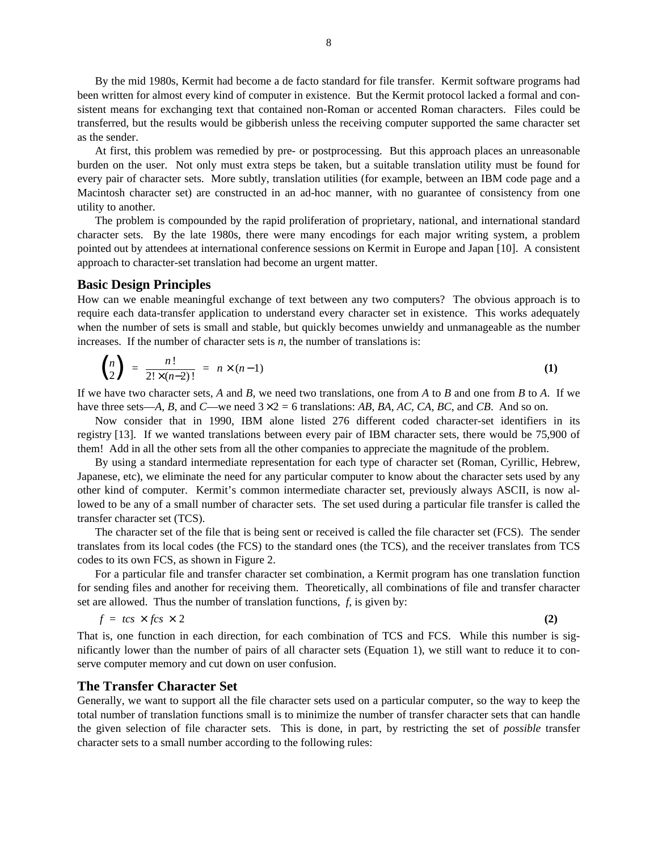By the mid 1980s, Kermit had become a de facto standard for file transfer. Kermit software programs had been written for almost every kind of computer in existence. But the Kermit protocol lacked a formal and consistent means for exchanging text that contained non-Roman or accented Roman characters. Files could be transferred, but the results would be gibberish unless the receiving computer supported the same character set as the sender.

At first, this problem was remedied by pre- or postprocessing. But this approach places an unreasonable burden on the user. Not only must extra steps be taken, but a suitable translation utility must be found for every pair of character sets. More subtly, translation utilities (for example, between an IBM code page and a Macintosh character set) are constructed in an ad-hoc manner, with no guarantee of consistency from one utility to another.

The problem is compounded by the rapid proliferation of proprietary, national, and international standard character sets. By the late 1980s, there were many encodings for each major writing system, a problem pointed out by attendees at international conference sessions on Kermit in Europe and Japan [10]. A consistent approach to character-set translation had become an urgent matter.

#### **Basic Design Principles**

How can we enable meaningful exchange of text between any two computers? The obvious approach is to require each data-transfer application to understand every character set in existence. This works adequately when the number of sets is small and stable, but quickly becomes unwieldy and unmanageable as the number increases. If the number of character sets is  $n$ , the number of translations is:

$$
\binom{n}{2} = \frac{n!}{2! \times (n-2)!} = n \times (n-1) \tag{1}
$$

If we have two character sets, *A* and *B*, we need two translations, one from *A* to *B* and one from *B* to *A*. If we have three sets—*A*, *B*, and *C*—we need  $3 \times 2 = 6$  translations: *AB*, *BA*, *AC*, *CA*, *BC*, and *CB*. And so on.

Now consider that in 1990, IBM alone listed 276 different coded character-set identifiers in its registry [13]. If we wanted translations between every pair of IBM character sets, there would be 75,900 of them! Add in all the other sets from all the other companies to appreciate the magnitude of the problem.

By using a standard intermediate representation for each type of character set (Roman, Cyrillic, Hebrew, Japanese, etc), we eliminate the need for any particular computer to know about the character sets used by any other kind of computer. Kermit's common intermediate character set, previously always ASCII, is now allowed to be any of a small number of character sets. The set used during a particular file transfer is called the transfer character set (TCS).

The character set of the file that is being sent or received is called the file character set (FCS). The sender translates from its local codes (the FCS) to the standard ones (the TCS), and the receiver translates from TCS codes to its own FCS, as shown in Figure 2.

For a particular file and transfer character set combination, a Kermit program has one translation function for sending files and another for receiving them. Theoretically, all combinations of file and transfer character set are allowed. Thus the number of translation functions, *f*, is given by:

$$
f = tcs \times fcs \times 2 \tag{2}
$$

That is, one function in each direction, for each combination of TCS and FCS. While this number is significantly lower than the number of pairs of all character sets (Equation 1), we still want to reduce it to conserve computer memory and cut down on user confusion.

### **The Transfer Character Set**

Generally, we want to support all the file character sets used on a particular computer, so the way to keep the total number of translation functions small is to minimize the number of transfer character sets that can handle the given selection of file character sets. This is done, in part, by restricting the set of *possible* transfer character sets to a small number according to the following rules: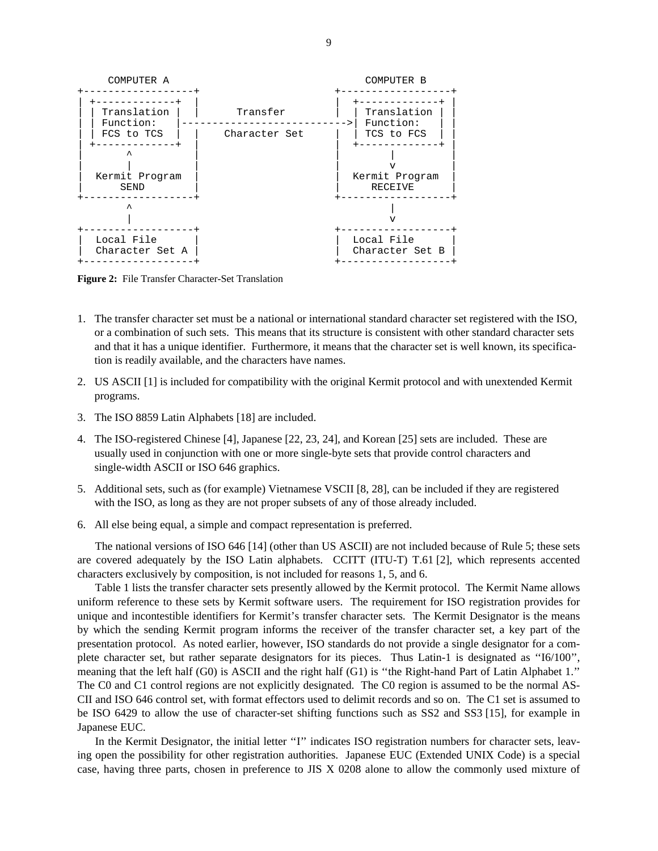

**Figure 2:** File Transfer Character-Set Translation

- 1. The transfer character set must be a national or international standard character set registered with the ISO, or a combination of such sets. This means that its structure is consistent with other standard character sets and that it has a unique identifier. Furthermore, it means that the character set is well known, its specification is readily available, and the characters have names.
- 2. US ASCII [1] is included for compatibility with the original Kermit protocol and with unextended Kermit programs.
- 3. The ISO 8859 Latin Alphabets [18] are included.
- 4. The ISO-registered Chinese [4], Japanese [22, 23, 24], and Korean [25] sets are included. These are usually used in conjunction with one or more single-byte sets that provide control characters and single-width ASCII or ISO 646 graphics.
- 5. Additional sets, such as (for example) Vietnamese VSCII [8, 28], can be included if they are registered with the ISO, as long as they are not proper subsets of any of those already included.
- 6. All else being equal, a simple and compact representation is preferred.

The national versions of ISO 646 [14] (other than US ASCII) are not included because of Rule 5; these sets are covered adequately by the ISO Latin alphabets. CCITT (ITU-T) T.61 [2], which represents accented characters exclusively by composition, is not included for reasons 1, 5, and 6.

Table 1 lists the transfer character sets presently allowed by the Kermit protocol. The Kermit Name allows uniform reference to these sets by Kermit software users. The requirement for ISO registration provides for unique and incontestible identifiers for Kermit's transfer character sets. The Kermit Designator is the means by which the sending Kermit program informs the receiver of the transfer character set, a key part of the presentation protocol. As noted earlier, however, ISO standards do not provide a single designator for a complete character set, but rather separate designators for its pieces. Thus Latin-1 is designated as ''I6/100'', meaning that the left half (G0) is ASCII and the right half (G1) is ''the Right-hand Part of Latin Alphabet 1.'' The C0 and C1 control regions are not explicitly designated. The C0 region is assumed to be the normal AS-CII and ISO 646 control set, with format effectors used to delimit records and so on. The C1 set is assumed to be ISO 6429 to allow the use of character-set shifting functions such as SS2 and SS3 [15], for example in Japanese EUC.

In the Kermit Designator, the initial letter "I" indicates ISO registration numbers for character sets, leaving open the possibility for other registration authorities. Japanese EUC (Extended UNIX Code) is a special case, having three parts, chosen in preference to JIS X 0208 alone to allow the commonly used mixture of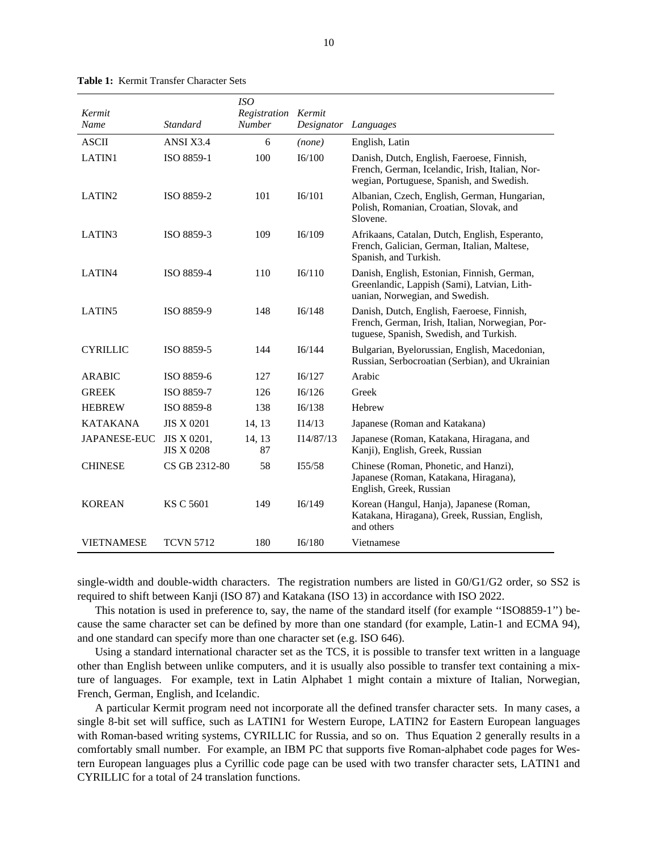|                     |                                  | <i>ISO</i>                           |            |                                                                                                                                            |
|---------------------|----------------------------------|--------------------------------------|------------|--------------------------------------------------------------------------------------------------------------------------------------------|
| Kermit<br>Name      | <b>Standard</b>                  | Registration Kermit<br><b>Number</b> | Designator | Languages                                                                                                                                  |
|                     |                                  |                                      |            |                                                                                                                                            |
| <b>ASCII</b>        | ANSI X3.4                        | 6                                    | (none)     | English, Latin                                                                                                                             |
| LATIN1              | ISO 8859-1                       | 100                                  | I6/100     | Danish, Dutch, English, Faeroese, Finnish,<br>French, German, Icelandic, Irish, Italian, Nor-<br>wegian, Portuguese, Spanish, and Swedish. |
| LATIN <sub>2</sub>  | ISO 8859-2                       | 101                                  | I6/101     | Albanian, Czech, English, German, Hungarian,<br>Polish, Romanian, Croatian, Slovak, and<br>Slovene.                                        |
| LATIN <sub>3</sub>  | ISO 8859-3                       | 109                                  | I6/109     | Afrikaans, Catalan, Dutch, English, Esperanto,<br>French, Galician, German, Italian, Maltese,<br>Spanish, and Turkish.                     |
| LATIN4              | ISO 8859-4                       | 110                                  | I6/110     | Danish, English, Estonian, Finnish, German,<br>Greenlandic, Lappish (Sami), Latvian, Lith-<br>uanian, Norwegian, and Swedish.              |
| LATIN <sub>5</sub>  | ISO 8859-9                       | 148                                  | I6/148     | Danish, Dutch, English, Faeroese, Finnish,<br>French, German, Irish, Italian, Norwegian, Por-<br>tuguese, Spanish, Swedish, and Turkish.   |
| <b>CYRILLIC</b>     | ISO 8859-5                       | 144                                  | I6/144     | Bulgarian, Byelorussian, English, Macedonian,<br>Russian, Serbocroatian (Serbian), and Ukrainian                                           |
| <b>ARABIC</b>       | ISO 8859-6                       | 127                                  | I6/127     | Arabic                                                                                                                                     |
| <b>GREEK</b>        | ISO 8859-7                       | 126                                  | I6/126     | Greek                                                                                                                                      |
| <b>HEBREW</b>       | <b>ISO 8859-8</b>                | 138                                  | I6/138     | Hebrew                                                                                                                                     |
| <b>KATAKANA</b>     | <b>JIS X 0201</b>                | 14, 13                               | I14/13     | Japanese (Roman and Katakana)                                                                                                              |
| <b>JAPANESE-EUC</b> | JIS X 0201,<br><b>JIS X 0208</b> | 14, 13<br>87                         | I14/87/13  | Japanese (Roman, Katakana, Hiragana, and<br>Kanji), English, Greek, Russian                                                                |
| <b>CHINESE</b>      | CS GB 2312-80                    | 58                                   | I55/58     | Chinese (Roman, Phonetic, and Hanzi),<br>Japanese (Roman, Katakana, Hiragana),<br>English, Greek, Russian                                  |
| <b>KOREAN</b>       | <b>KS C 5601</b>                 | 149                                  | I6/149     | Korean (Hangul, Hanja), Japanese (Roman,<br>Katakana, Hiragana), Greek, Russian, English,<br>and others                                    |
| <b>VIETNAMESE</b>   | <b>TCVN 5712</b>                 | 180                                  | I6/180     | Vietnamese                                                                                                                                 |

**Table 1:** Kermit Transfer Character Sets

single-width and double-width characters. The registration numbers are listed in G0/G1/G2 order, so SS2 is required to shift between Kanji (ISO 87) and Katakana (ISO 13) in accordance with ISO 2022.

This notation is used in preference to, say, the name of the standard itself (for example ''ISO8859-1'') because the same character set can be defined by more than one standard (for example, Latin-1 and ECMA 94), and one standard can specify more than one character set (e.g. ISO 646).

Using a standard international character set as the TCS, it is possible to transfer text written in a language other than English between unlike computers, and it is usually also possible to transfer text containing a mixture of languages. For example, text in Latin Alphabet 1 might contain a mixture of Italian, Norwegian, French, German, English, and Icelandic.

A particular Kermit program need not incorporate all the defined transfer character sets. In many cases, a single 8-bit set will suffice, such as LATIN1 for Western Europe, LATIN2 for Eastern European languages with Roman-based writing systems, CYRILLIC for Russia, and so on. Thus Equation 2 generally results in a comfortably small number. For example, an IBM PC that supports five Roman-alphabet code pages for Western European languages plus a Cyrillic code page can be used with two transfer character sets, LATIN1 and CYRILLIC for a total of 24 translation functions.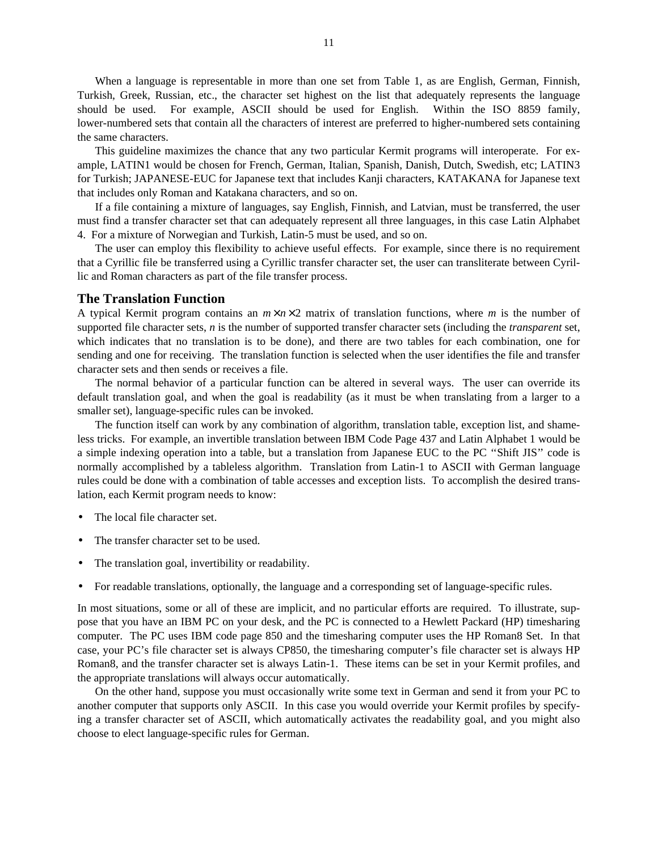When a language is representable in more than one set from Table 1, as are English, German, Finnish, Turkish, Greek, Russian, etc., the character set highest on the list that adequately represents the language should be used. For example, ASCII should be used for English. Within the ISO 8859 family, lower-numbered sets that contain all the characters of interest are preferred to higher-numbered sets containing the same characters.

This guideline maximizes the chance that any two particular Kermit programs will interoperate. For example, LATIN1 would be chosen for French, German, Italian, Spanish, Danish, Dutch, Swedish, etc; LATIN3 for Turkish; JAPANESE-EUC for Japanese text that includes Kanji characters, KATAKANA for Japanese text that includes only Roman and Katakana characters, and so on.

If a file containing a mixture of languages, say English, Finnish, and Latvian, must be transferred, the user must find a transfer character set that can adequately represent all three languages, in this case Latin Alphabet 4. For a mixture of Norwegian and Turkish, Latin-5 must be used, and so on.

The user can employ this flexibility to achieve useful effects. For example, since there is no requirement that a Cyrillic file be transferred using a Cyrillic transfer character set, the user can transliterate between Cyrillic and Roman characters as part of the file transfer process.

### **The Translation Function**

A typical Kermit program contains an  $m \times n \times 2$  matrix of translation functions, where *m* is the number of supported file character sets, *n* is the number of supported transfer character sets (including the *transparent* set, which indicates that no translation is to be done), and there are two tables for each combination, one for sending and one for receiving. The translation function is selected when the user identifies the file and transfer character sets and then sends or receives a file.

The normal behavior of a particular function can be altered in several ways. The user can override its default translation goal, and when the goal is readability (as it must be when translating from a larger to a smaller set), language-specific rules can be invoked.

The function itself can work by any combination of algorithm, translation table, exception list, and shameless tricks. For example, an invertible translation between IBM Code Page 437 and Latin Alphabet 1 would be a simple indexing operation into a table, but a translation from Japanese EUC to the PC ''Shift JIS'' code is normally accomplished by a tableless algorithm. Translation from Latin-1 to ASCII with German language rules could be done with a combination of table accesses and exception lists. To accomplish the desired translation, each Kermit program needs to know:

- The local file character set.
- The transfer character set to be used.
- The translation goal, invertibility or readability.
- For readable translations, optionally, the language and a corresponding set of language-specific rules.

In most situations, some or all of these are implicit, and no particular efforts are required. To illustrate, suppose that you have an IBM PC on your desk, and the PC is connected to a Hewlett Packard (HP) timesharing computer. The PC uses IBM code page 850 and the timesharing computer uses the HP Roman8 Set. In that case, your PC's file character set is always CP850, the timesharing computer's file character set is always HP Roman8, and the transfer character set is always Latin-1. These items can be set in your Kermit profiles, and the appropriate translations will always occur automatically.

On the other hand, suppose you must occasionally write some text in German and send it from your PC to another computer that supports only ASCII. In this case you would override your Kermit profiles by specifying a transfer character set of ASCII, which automatically activates the readability goal, and you might also choose to elect language-specific rules for German.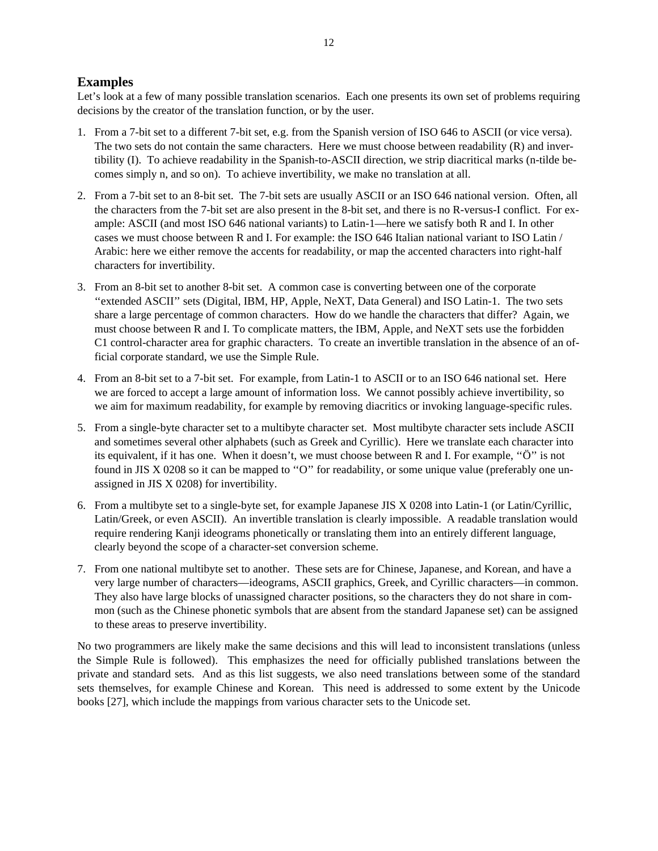## **Examples**

Let's look at a few of many possible translation scenarios. Each one presents its own set of problems requiring decisions by the creator of the translation function, or by the user.

- 1. From a 7-bit set to a different 7-bit set, e.g. from the Spanish version of ISO 646 to ASCII (or vice versa). The two sets do not contain the same characters. Here we must choose between readability (R) and invertibility (I). To achieve readability in the Spanish-to-ASCII direction, we strip diacritical marks (n-tilde becomes simply n, and so on). To achieve invertibility, we make no translation at all.
- 2. From a 7-bit set to an 8-bit set. The 7-bit sets are usually ASCII or an ISO 646 national version. Often, all the characters from the 7-bit set are also present in the 8-bit set, and there is no R-versus-I conflict. For example: ASCII (and most ISO 646 national variants) to Latin-1—here we satisfy both R and I. In other cases we must choose between R and I. For example: the ISO 646 Italian national variant to ISO Latin / Arabic: here we either remove the accents for readability, or map the accented characters into right-half characters for invertibility.
- 3. From an 8-bit set to another 8-bit set. A common case is converting between one of the corporate ''extended ASCII'' sets (Digital, IBM, HP, Apple, NeXT, Data General) and ISO Latin-1. The two sets share a large percentage of common characters. How do we handle the characters that differ? Again, we must choose between R and I. To complicate matters, the IBM, Apple, and NeXT sets use the forbidden C1 control-character area for graphic characters. To create an invertible translation in the absence of an official corporate standard, we use the Simple Rule.
- 4. From an 8-bit set to a 7-bit set. For example, from Latin-1 to ASCII or to an ISO 646 national set. Here we are forced to accept a large amount of information loss. We cannot possibly achieve invertibility, so we aim for maximum readability, for example by removing diacritics or invoking language-specific rules.
- 5. From a single-byte character set to a multibyte character set. Most multibyte character sets include ASCII and sometimes several other alphabets (such as Greek and Cyrillic). Here we translate each character into its equivalent, if it has one. When it doesn't, we must choose between R and I. For example, ''Ö'' is not found in JIS X 0208 so it can be mapped to ''O'' for readability, or some unique value (preferably one unassigned in JIS X 0208) for invertibility.
- 6. From a multibyte set to a single-byte set, for example Japanese JIS X 0208 into Latin-1 (or Latin/Cyrillic, Latin/Greek, or even ASCII). An invertible translation is clearly impossible. A readable translation would require rendering Kanji ideograms phonetically or translating them into an entirely different language, clearly beyond the scope of a character-set conversion scheme.
- 7. From one national multibyte set to another. These sets are for Chinese, Japanese, and Korean, and have a very large number of characters—ideograms, ASCII graphics, Greek, and Cyrillic characters—in common. They also have large blocks of unassigned character positions, so the characters they do not share in common (such as the Chinese phonetic symbols that are absent from the standard Japanese set) can be assigned to these areas to preserve invertibility.

No two programmers are likely make the same decisions and this will lead to inconsistent translations (unless the Simple Rule is followed). This emphasizes the need for officially published translations between the private and standard sets. And as this list suggests, we also need translations between some of the standard sets themselves, for example Chinese and Korean. This need is addressed to some extent by the Unicode books [27], which include the mappings from various character sets to the Unicode set.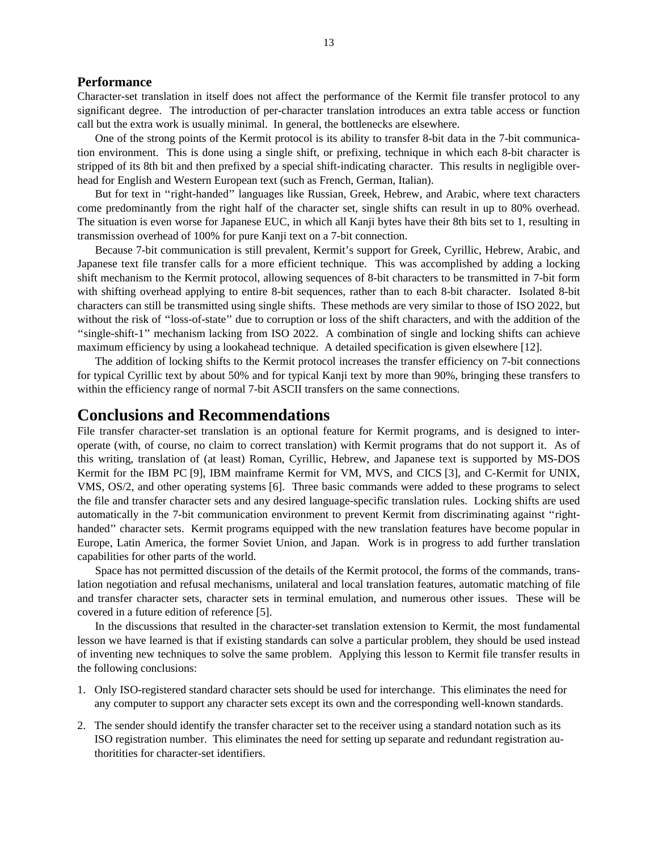### **Performance**

Character-set translation in itself does not affect the performance of the Kermit file transfer protocol to any significant degree. The introduction of per-character translation introduces an extra table access or function call but the extra work is usually minimal. In general, the bottlenecks are elsewhere.

One of the strong points of the Kermit protocol is its ability to transfer 8-bit data in the 7-bit communication environment. This is done using a single shift, or prefixing, technique in which each 8-bit character is stripped of its 8th bit and then prefixed by a special shift-indicating character. This results in negligible overhead for English and Western European text (such as French, German, Italian).

But for text in ''right-handed'' languages like Russian, Greek, Hebrew, and Arabic, where text characters come predominantly from the right half of the character set, single shifts can result in up to 80% overhead. The situation is even worse for Japanese EUC, in which all Kanji bytes have their 8th bits set to 1, resulting in transmission overhead of 100% for pure Kanji text on a 7-bit connection.

Because 7-bit communication is still prevalent, Kermit's support for Greek, Cyrillic, Hebrew, Arabic, and Japanese text file transfer calls for a more efficient technique. This was accomplished by adding a locking shift mechanism to the Kermit protocol, allowing sequences of 8-bit characters to be transmitted in 7-bit form with shifting overhead applying to entire 8-bit sequences, rather than to each 8-bit character. Isolated 8-bit characters can still be transmitted using single shifts. These methods are very similar to those of ISO 2022, but without the risk of ''loss-of-state'' due to corruption or loss of the shift characters, and with the addition of the ''single-shift-1'' mechanism lacking from ISO 2022. A combination of single and locking shifts can achieve maximum efficiency by using a lookahead technique. A detailed specification is given elsewhere [12].

The addition of locking shifts to the Kermit protocol increases the transfer efficiency on 7-bit connections for typical Cyrillic text by about 50% and for typical Kanji text by more than 90%, bringing these transfers to within the efficiency range of normal 7-bit ASCII transfers on the same connections.

## **Conclusions and Recommendations**

File transfer character-set translation is an optional feature for Kermit programs, and is designed to interoperate (with, of course, no claim to correct translation) with Kermit programs that do not support it. As of this writing, translation of (at least) Roman, Cyrillic, Hebrew, and Japanese text is supported by MS-DOS Kermit for the IBM PC [9], IBM mainframe Kermit for VM, MVS, and CICS [3], and C-Kermit for UNIX, VMS, OS/2, and other operating systems [6]. Three basic commands were added to these programs to select the file and transfer character sets and any desired language-specific translation rules. Locking shifts are used automatically in the 7-bit communication environment to prevent Kermit from discriminating against ''righthanded'' character sets. Kermit programs equipped with the new translation features have become popular in Europe, Latin America, the former Soviet Union, and Japan. Work is in progress to add further translation capabilities for other parts of the world.

Space has not permitted discussion of the details of the Kermit protocol, the forms of the commands, translation negotiation and refusal mechanisms, unilateral and local translation features, automatic matching of file and transfer character sets, character sets in terminal emulation, and numerous other issues. These will be covered in a future edition of reference [5].

In the discussions that resulted in the character-set translation extension to Kermit, the most fundamental lesson we have learned is that if existing standards can solve a particular problem, they should be used instead of inventing new techniques to solve the same problem. Applying this lesson to Kermit file transfer results in the following conclusions:

- 1. Only ISO-registered standard character sets should be used for interchange. This eliminates the need for any computer to support any character sets except its own and the corresponding well-known standards.
- 2. The sender should identify the transfer character set to the receiver using a standard notation such as its ISO registration number. This eliminates the need for setting up separate and redundant registration authoritities for character-set identifiers.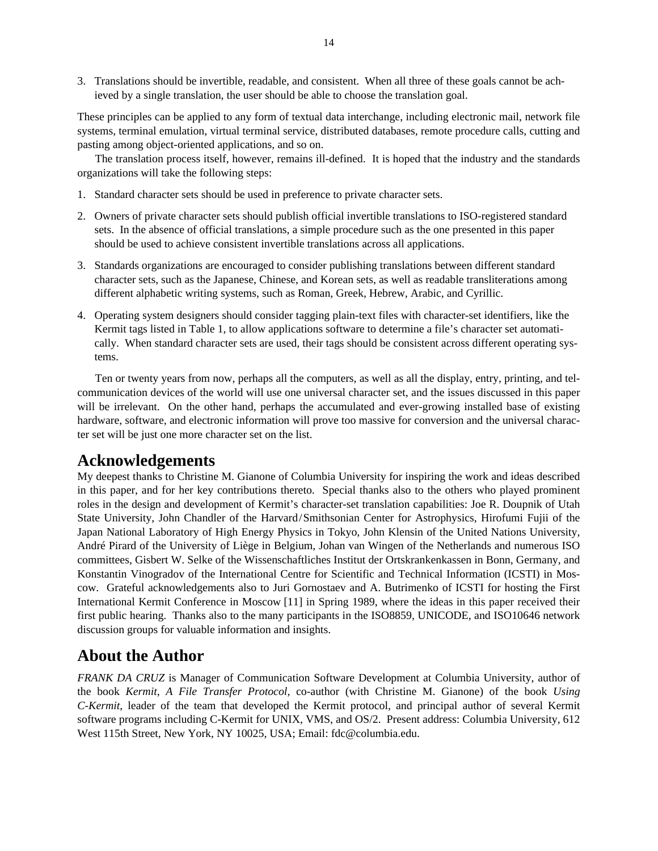3. Translations should be invertible, readable, and consistent. When all three of these goals cannot be achieved by a single translation, the user should be able to choose the translation goal.

These principles can be applied to any form of textual data interchange, including electronic mail, network file systems, terminal emulation, virtual terminal service, distributed databases, remote procedure calls, cutting and pasting among object-oriented applications, and so on.

The translation process itself, however, remains ill-defined. It is hoped that the industry and the standards organizations will take the following steps:

- 1. Standard character sets should be used in preference to private character sets.
- 2. Owners of private character sets should publish official invertible translations to ISO-registered standard sets. In the absence of official translations, a simple procedure such as the one presented in this paper should be used to achieve consistent invertible translations across all applications.
- 3. Standards organizations are encouraged to consider publishing translations between different standard character sets, such as the Japanese, Chinese, and Korean sets, as well as readable transliterations among different alphabetic writing systems, such as Roman, Greek, Hebrew, Arabic, and Cyrillic.
- 4. Operating system designers should consider tagging plain-text files with character-set identifiers, like the Kermit tags listed in Table 1, to allow applications software to determine a file's character set automatically. When standard character sets are used, their tags should be consistent across different operating systems.

Ten or twenty years from now, perhaps all the computers, as well as all the display, entry, printing, and telcommunication devices of the world will use one universal character set, and the issues discussed in this paper will be irrelevant. On the other hand, perhaps the accumulated and ever-growing installed base of existing hardware, software, and electronic information will prove too massive for conversion and the universal character set will be just one more character set on the list.

# **Acknowledgements**

My deepest thanks to Christine M. Gianone of Columbia University for inspiring the work and ideas described in this paper, and for her key contributions thereto. Special thanks also to the others who played prominent roles in the design and development of Kermit's character-set translation capabilities: Joe R. Doupnik of Utah State University, John Chandler of the Harvard/Smithsonian Center for Astrophysics, Hirofumi Fujii of the Japan National Laboratory of High Energy Physics in Tokyo, John Klensin of the United Nations University, André Pirard of the University of Liège in Belgium, Johan van Wingen of the Netherlands and numerous ISO committees, Gisbert W. Selke of the Wissenschaftliches Institut der Ortskrankenkassen in Bonn, Germany, and Konstantin Vinogradov of the International Centre for Scientific and Technical Information (ICSTI) in Moscow. Grateful acknowledgements also to Juri Gornostaev and A. Butrimenko of ICSTI for hosting the First International Kermit Conference in Moscow [11] in Spring 1989, where the ideas in this paper received their first public hearing. Thanks also to the many participants in the ISO8859, UNICODE, and ISO10646 network discussion groups for valuable information and insights.

# **About the Author**

*FRANK DA CRUZ* is Manager of Communication Software Development at Columbia University, author of the book *Kermit, A File Transfer Protocol*, co-author (with Christine M. Gianone) of the book *Using C-Kermit*, leader of the team that developed the Kermit protocol, and principal author of several Kermit software programs including C-Kermit for UNIX, VMS, and OS/2. Present address: Columbia University, 612 West 115th Street, New York, NY 10025, USA; Email: fdc@columbia.edu.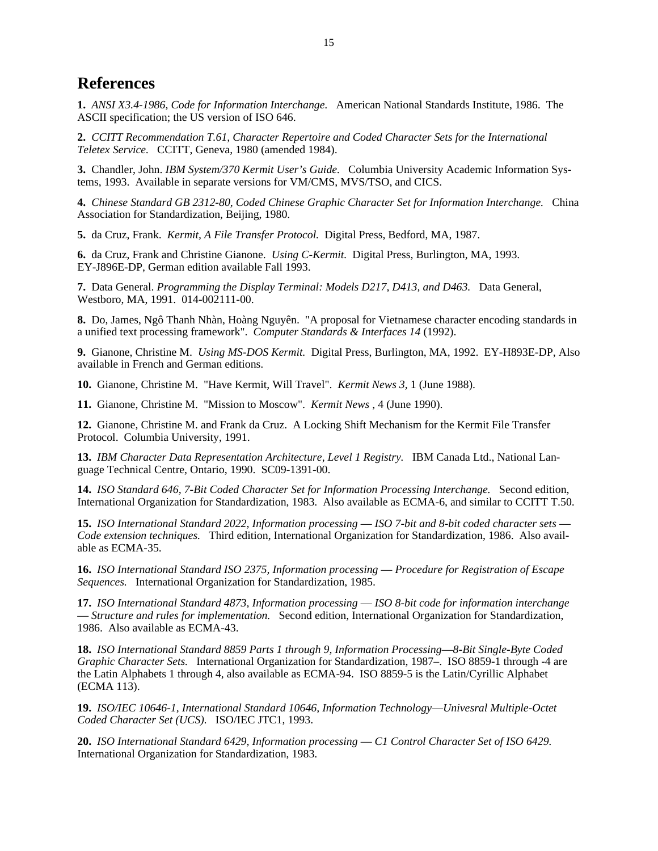# **References**

**1.** *ANSI X3.4-1986, Code for Information Interchange.* American National Standards Institute, 1986. The ASCII specification; the US version of ISO 646.

**2.** *CCITT Recommendation T.61, Character Repertoire and Coded Character Sets for the International Teletex Service.* CCITT, Geneva, 1980 (amended 1984).

**3.** Chandler, John. *IBM System/370 Kermit User's Guide.* Columbia University Academic Information Systems, 1993. Available in separate versions for VM/CMS, MVS/TSO, and CICS.

**4.** *Chinese Standard GB 2312-80, Coded Chinese Graphic Character Set for Information Interchange.* China Association for Standardization, Beijing, 1980.

**5.** da Cruz, Frank. *Kermit, A File Transfer Protocol.* Digital Press, Bedford, MA, 1987.

**6.** da Cruz, Frank and Christine Gianone. *Using C-Kermit.* Digital Press, Burlington, MA, 1993. EY-J896E-DP, German edition available Fall 1993.

**7.** Data General. *Programming the Display Terminal: Models D217, D413, and D463.* Data General, Westboro, MA, 1991. 014-002111-00.

**8.** Do, James, Ngô Thanh Nhàn, Hoàng Nguyên. "A proposal for Vietnamese character encoding standards in a unified text processing framework". *Computer Standards & Interfaces 14* (1992).

**9.** Gianone, Christine M. *Using MS-DOS Kermit.* Digital Press, Burlington, MA, 1992. EY-H893E-DP, Also available in French and German editions.

**10.** Gianone, Christine M. "Have Kermit, Will Travel". *Kermit News 3*, 1 (June 1988).

**11.** Gianone, Christine M. "Mission to Moscow". *Kermit News* , 4 (June 1990).

**12.** Gianone, Christine M. and Frank da Cruz. A Locking Shift Mechanism for the Kermit File Transfer Protocol. Columbia University, 1991.

**13.** *IBM Character Data Representation Architecture, Level 1 Registry.* IBM Canada Ltd., National Language Technical Centre, Ontario, 1990. SC09-1391-00.

**14.** *ISO Standard 646, 7-Bit Coded Character Set for Information Processing Interchange.* Second edition, International Organization for Standardization, 1983. Also available as ECMA-6, and similar to CCITT T.50.

**15.** *ISO International Standard 2022, Information processing* — *ISO 7-bit and 8-bit coded character sets* — *Code extension techniques.* Third edition, International Organization for Standardization, 1986. Also available as ECMA-35.

**16.** *ISO International Standard ISO 2375, Information processing* — *Procedure for Registration of Escape Sequences.* International Organization for Standardization, 1985.

**17.** *ISO International Standard 4873, Information processing* — *ISO 8-bit code for information interchange* — *Structure and rules for implementation.* Second edition, International Organization for Standardization, 1986. Also available as ECMA-43.

**18.** *ISO International Standard 8859 Parts 1 through 9, Information Processing*—*8-Bit Single-Byte Coded Graphic Character Sets.* International Organization for Standardization, 1987–. ISO 8859-1 through -4 are the Latin Alphabets 1 through 4, also available as ECMA-94. ISO 8859-5 is the Latin/Cyrillic Alphabet (ECMA 113).

**19.** *ISO/IEC 10646-1, International Standard 10646, Information Technology*—*Univesral Multiple-Octet Coded Character Set (UCS).* ISO/IEC JTC1, 1993.

**20.** *ISO International Standard 6429, Information processing* — *C1 Control Character Set of ISO 6429.* International Organization for Standardization, 1983.